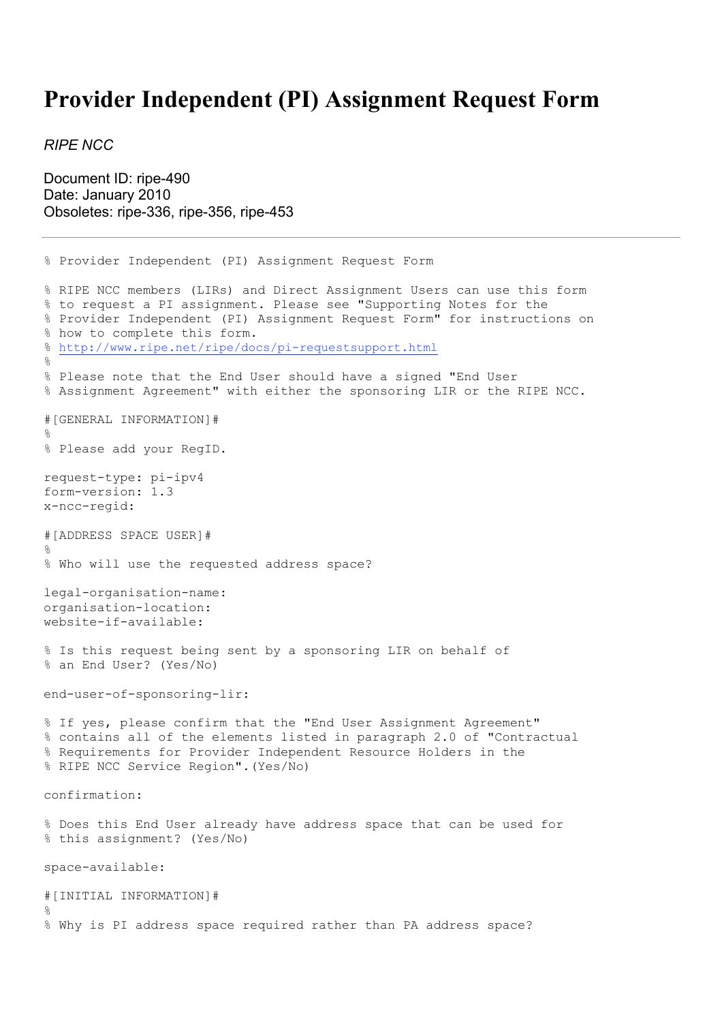## **Provider Independent (PI) Assignment Request Form**

*RIPE NCC*

Document ID: ripe-490 Date: January 2010 Obsoletes: ripe-336, ripe-356, ripe-453

% Provider Independent (PI) Assignment Request Form % RIPE NCC members (LIRs) and Direct Assignment Users can use this form % to request a PI assignment. Please see "Supporting Notes for the % Provider Independent (PI) Assignment Request Form" for instructions on % how to complete this form. % http://www.ripe.net/ripe/docs/pi-requestsupport.html  $\mathbf{Q}$ % Please note that the End User should have a signed "End User % Assignment Agreement" with either the sponsoring LIR or the RIPE NCC. #[GENERAL INFORMATION]#  $\mathfrak{D}$ % Please add your RegID. request-type: pi-ipv4 form-version: 1.3 x-ncc-regid: #[ADDRESS SPACE USER]#  $\approx$ % Who will use the requested address space? legal-organisation-name: organisation-location: website-if-available: % Is this request being sent by a sponsoring LIR on behalf of % an End User? (Yes/No) end-user-of-sponsoring-lir: % If yes, please confirm that the "End User Assignment Agreement" % contains all of the elements listed in paragraph 2.0 of "Contractual % Requirements for Provider Independent Resource Holders in the % RIPE NCC Service Region".(Yes/No) confirmation: % Does this End User already have address space that can be used for % this assignment? (Yes/No) space-available: #[INITIAL INFORMATION]# % % Why is PI address space required rather than PA address space?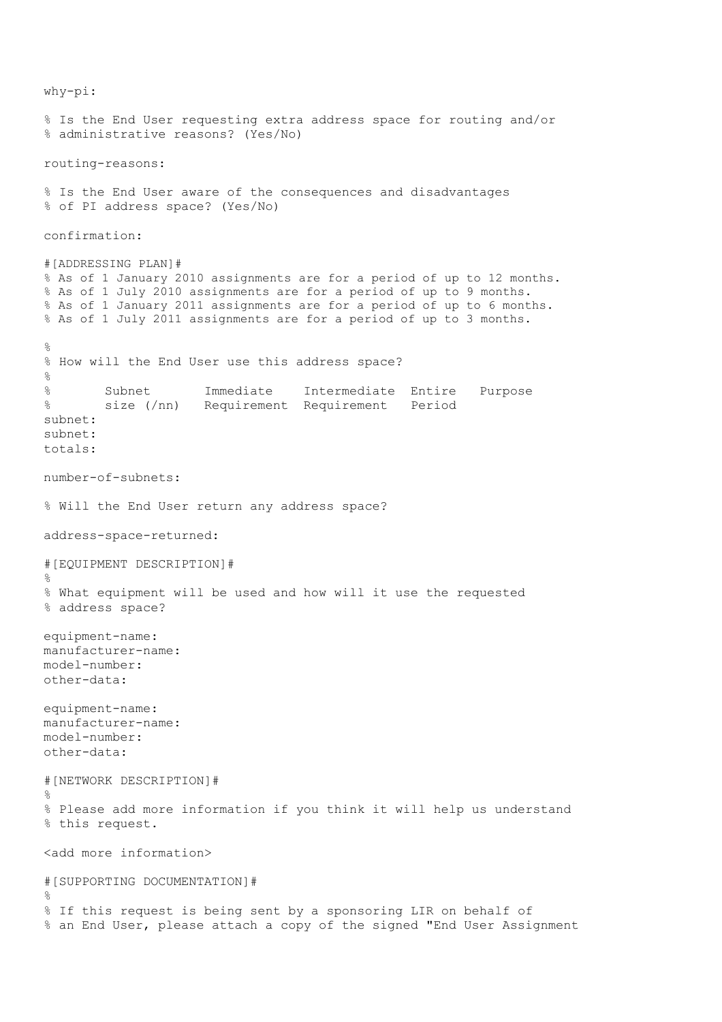why-pi: % Is the End User requesting extra address space for routing and/or % administrative reasons? (Yes/No) routing-reasons: % Is the End User aware of the consequences and disadvantages % of PI address space? (Yes/No) confirmation: #[ADDRESSING PLAN]# % As of 1 January 2010 assignments are for a period of up to 12 months. % As of 1 July 2010 assignments are for a period of up to 9 months. % As of 1 January 2011 assignments are for a period of up to 6 months. % As of 1 July 2011 assignments are for a period of up to 3 months. % % How will the End User use this address space?  $\approx$ % Subnet Immediate Intermediate Entire Purpose % size (/nn) Requirement Requirement Period subnet: subnet: totals: number-of-subnets: % Will the End User return any address space? address-space-returned: #[EQUIPMENT DESCRIPTION]# % % What equipment will be used and how will it use the requested % address space? equipment-name: manufacturer-name: model-number: other-data: equipment-name: manufacturer-name: model-number: other-data: #[NETWORK DESCRIPTION]# % % Please add more information if you think it will help us understand % this request. <add more information> #[SUPPORTING DOCUMENTATION]# % % If this request is being sent by a sponsoring LIR on behalf of % an End User, please attach a copy of the signed "End User Assignment